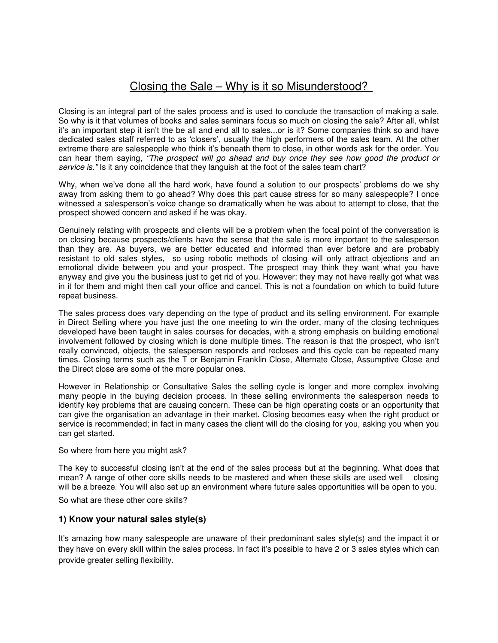# Closing the Sale – Why is it so Misunderstood?

Closing is an integral part of the sales process and is used to conclude the transaction of making a sale. So why is it that volumes of books and sales seminars focus so much on closing the sale? After all, whilst it's an important step it isn't the be all and end all to sales...or is it? Some companies think so and have dedicated sales staff referred to as 'closers', usually the high performers of the sales team. At the other extreme there are salespeople who think it's beneath them to close, in other words ask for the order. You can hear them saying, "The prospect will go ahead and buy once they see how good the product or service is." Is it any coincidence that they languish at the foot of the sales team chart?

Why, when we've done all the hard work, have found a solution to our prospects' problems do we shy away from asking them to go ahead? Why does this part cause stress for so many salespeople? I once witnessed a salesperson's voice change so dramatically when he was about to attempt to close, that the prospect showed concern and asked if he was okay.

Genuinely relating with prospects and clients will be a problem when the focal point of the conversation is on closing because prospects/clients have the sense that the sale is more important to the salesperson than they are. As buyers, we are better educated and informed than ever before and are probably resistant to old sales styles, so using robotic methods of closing will only attract objections and an emotional divide between you and your prospect. The prospect may think they want what you have anyway and give you the business just to get rid of you. However: they may not have really got what was in it for them and might then call your office and cancel. This is not a foundation on which to build future repeat business.

The sales process does vary depending on the type of product and its selling environment. For example in Direct Selling where you have just the one meeting to win the order, many of the closing techniques developed have been taught in sales courses for decades, with a strong emphasis on building emotional involvement followed by closing which is done multiple times. The reason is that the prospect, who isn't really convinced, objects, the salesperson responds and recloses and this cycle can be repeated many times. Closing terms such as the T or Benjamin Franklin Close, Alternate Close, Assumptive Close and the Direct close are some of the more popular ones.

However in Relationship or Consultative Sales the selling cycle is longer and more complex involving many people in the buying decision process. In these selling environments the salesperson needs to identify key problems that are causing concern. These can be high operating costs or an opportunity that can give the organisation an advantage in their market. Closing becomes easy when the right product or service is recommended; in fact in many cases the client will do the closing for you, asking you when you can get started.

So where from here you might ask?

The key to successful closing isn't at the end of the sales process but at the beginning. What does that mean? A range of other core skills needs to be mastered and when these skills are used well closing will be a breeze. You will also set up an environment where future sales opportunities will be open to you.

So what are these other core skills?

#### **1) Know your natural sales style(s)**

It's amazing how many salespeople are unaware of their predominant sales style(s) and the impact it or they have on every skill within the sales process. In fact it's possible to have 2 or 3 sales styles which can provide greater selling flexibility.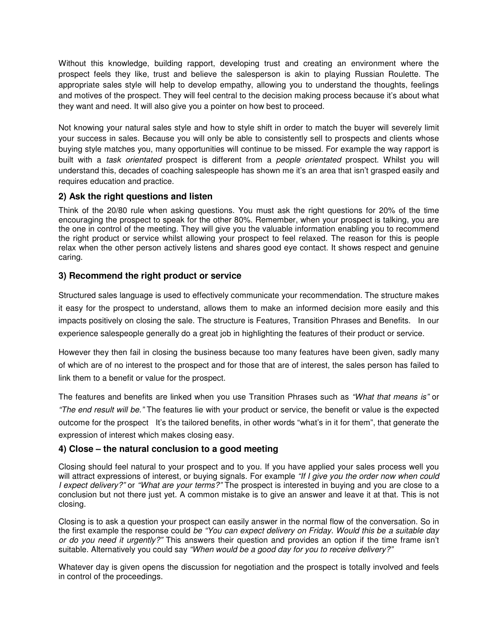Without this knowledge, building rapport, developing trust and creating an environment where the prospect feels they like, trust and believe the salesperson is akin to playing Russian Roulette. The appropriate sales style will help to develop empathy, allowing you to understand the thoughts, feelings and motives of the prospect. They will feel central to the decision making process because it's about what they want and need. It will also give you a pointer on how best to proceed.

Not knowing your natural sales style and how to style shift in order to match the buyer will severely limit your success in sales. Because you will only be able to consistently sell to prospects and clients whose buying style matches you, many opportunities will continue to be missed. For example the way rapport is built with a task orientated prospect is different from a people orientated prospect. Whilst you will understand this, decades of coaching salespeople has shown me it's an area that isn't grasped easily and requires education and practice.

### **2) Ask the right questions and listen**

Think of the 20/80 rule when asking questions. You must ask the right questions for 20% of the time encouraging the prospect to speak for the other 80%. Remember, when your prospect is talking, you are the one in control of the meeting. They will give you the valuable information enabling you to recommend the right product or service whilst allowing your prospect to feel relaxed. The reason for this is people relax when the other person actively listens and shares good eye contact. It shows respect and genuine caring.

#### **3) Recommend the right product or service**

Structured sales language is used to effectively communicate your recommendation. The structure makes it easy for the prospect to understand, allows them to make an informed decision more easily and this impacts positively on closing the sale. The structure is Features, Transition Phrases and Benefits. In our experience salespeople generally do a great job in highlighting the features of their product or service.

However they then fail in closing the business because too many features have been given, sadly many of which are of no interest to the prospect and for those that are of interest, the sales person has failed to link them to a benefit or value for the prospect.

The features and benefits are linked when you use Transition Phrases such as "What that means is" or "The end result will be." The features lie with your product or service, the benefit or value is the expected outcome for the prospect It's the tailored benefits, in other words "what's in it for them", that generate the expression of interest which makes closing easy.

## **4) Close – the natural conclusion to a good meeting**

Closing should feel natural to your prospect and to you. If you have applied your sales process well you will attract expressions of interest, or buying signals. For example "If I give you the order now when could I expect delivery?" or "What are your terms?" The prospect is interested in buying and you are close to a conclusion but not there just yet. A common mistake is to give an answer and leave it at that. This is not closing.

Closing is to ask a question your prospect can easily answer in the normal flow of the conversation. So in the first example the response could be "You can expect delivery on Friday. Would this be a suitable day or do you need it urgently?" This answers their question and provides an option if the time frame isn't suitable. Alternatively you could say "When would be a good day for you to receive delivery?"

Whatever day is given opens the discussion for negotiation and the prospect is totally involved and feels in control of the proceedings.